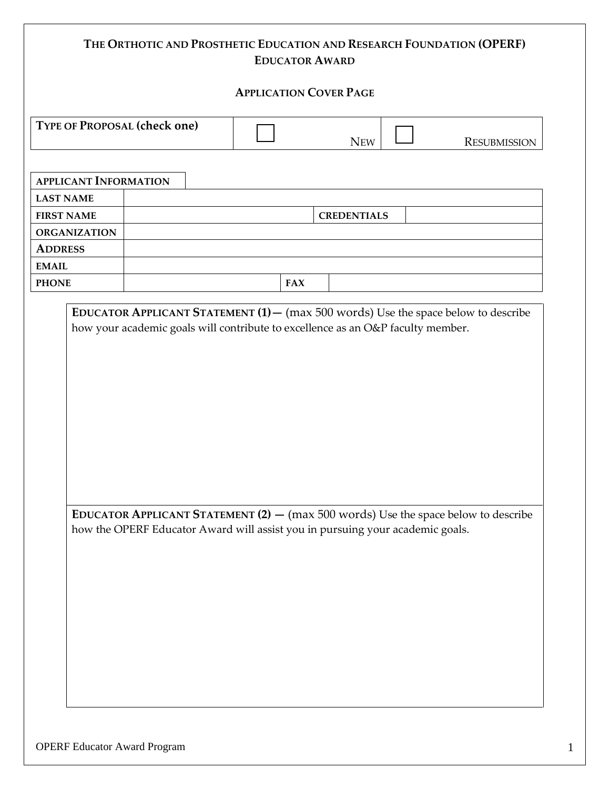# **THE ORTHOTIC AND PROSTHETIC EDUCATION AND RESEARCH FOUNDATION (OPERF) EDUCATOR AWARD**

#### **APPLICATION COVER PAGE**

| <b>TYPE OF PROPOSAL (check one)</b> |     |              |
|-------------------------------------|-----|--------------|
|                                     | New | Resubmission |

| <b>APPLICANT INFORMATION</b> |  |     |                    |
|------------------------------|--|-----|--------------------|
| <b>LAST NAME</b>             |  |     |                    |
| <b>FIRST NAME</b>            |  |     | <b>CREDENTIALS</b> |
| <b>ORGANIZATION</b>          |  |     |                    |
| <b>ADDRESS</b>               |  |     |                    |
| <b>EMAIL</b>                 |  |     |                    |
| <b>PHONE</b>                 |  | FAX |                    |

**EDUCATOR APPLICANT STATEMENT (1)—** (max 500 words) Use the space below to describe how your academic goals will contribute to excellence as an O&P faculty member.

**EDUCATOR APPLICANT STATEMENT (2) —** (max 500 words) Use the space below to describe how the OPERF Educator Award will assist you in pursuing your academic goals.